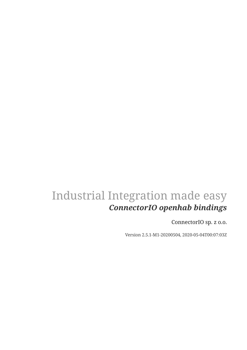## Industrial Integration made easy *ConnectorIO openhab bindings*

ConnectorIO sp. z o.o.

Version 2.5.1-M1-20200504, 2020-05-04T00:07:03Z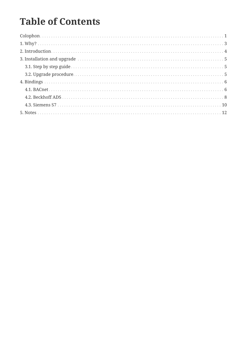## **Table of Contents**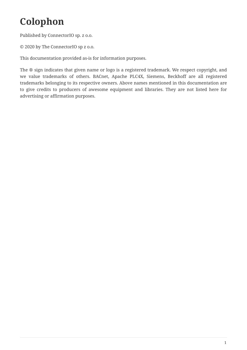# <span id="page-2-0"></span>**Colophon**

Published by ConnectorIO sp. z o.o.

© 2020 by The ConnectorIO sp z o.o.

This documentation provided as-is for information purposes.

The ® sign indicates that given name or logo is a registered trademark. We respect copyright, and we value trademarks of others. BACnet, Apache PLC4X, Siemens, Beckhoff are all registered trademarks belonging to its respective owners. Above names mentioned in this documentation are to give credits to producers of awesome equipment and libraries. They are not listed here for advertising or affirmation purposes.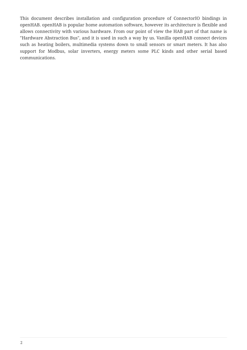This document describes installation and configuration procedure of ConnectorIO bindings in openHAB. openHAB is popular home automation software, however its architecture is flexible and allows connectivity with various hardware. From our point of view the HAB part of that name is "Hardware Abstraction Bus", and it is used in such a way by us. Vanilla openHAB connect devices such as heating boilers, multimedia systems down to small sensors or smart meters. It has also support for Modbus, solar inverters, energy meters some PLC kinds and other serial based communications.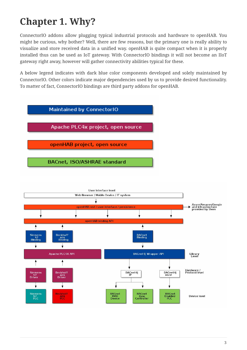# <span id="page-4-0"></span>**Chapter 1. Why?**

**Reckhoff** 

ADS<br>Drivei

Beckhoff<br>ADS<br>PLC

**Siemens** 

Siemens

 $_{PLC}^{S7}$ 

Driver

ConnectorIO addons allow plugging typical industrial protocols and hardware to openHAB. You might be curious, why bother? Well, there are few reasons, but the primary one is really ability to visualize and store received data in a unified way. openHAB is quite compact when it is properly installed thus can be used as IoT gateway. With ConnectorIO bindings it will not become an IIoT gateway right away, however will gather connectivity abilities typical for these.

A below legend indicates with dark blue color components developed and solely maintained by ConnectorIO. Other colors indicate major dependencies used by us to provide desired functionality. To matter of fact, ConnectorIO bindings are third party addons for openHAB.



BACnet4j

**BACnet** 

Zone<br>Controller

**BACnet**<br> **HVAC**<br> **Device** 

Hardware /<br>Protocol level

Device level

BACnet4J

**BACnet**<br>Enabled<br>PLC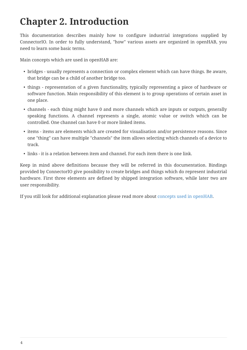## <span id="page-5-0"></span>**Chapter 2. Introduction**

This documentation describes mainly how to configure industrial integrations supplied by ConnectorIO. In order to fully understand, "how" various assets are organized in openHAB, you need to learn some basic terms.

Main concepts which are used in openHAB are:

- bridges usually represents a connection or complex element which can have things. Be aware, that bridge can be a child of another bridge too.
- things representation of a given functionality, typically representing a piece of hardware or software function. Main responsibility of this element is to group operations of certain asset in one place.
- channels each thing might have 0 and more channels which are inputs or outputs, generally speaking functions. A channel represents a single, atomic value or switch which can be controlled. One channel can have 0 or more linked items.
- items items are elements which are created for visualisation and/or persistence reasons. Since one "thing" can have multiple "channels" the item allows selecting which channels of a device to track.
- links it is a relation between item and channel. For each item there is one link.

Keep in mind above definitions because they will be referred in this documentation. Bindings provided by ConnectorIO give possibility to create bridges and things which do represent industrial hardware. First three elements are defined by shipped integration software, while later two are user responsibility.

If you still look for additional explanation please read more about [concepts used in openHAB.](https://www.openhab.org/docs/concepts/)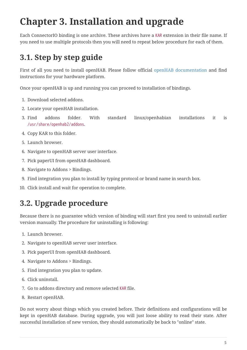# <span id="page-6-0"></span>**Chapter 3. Installation and upgrade**

Each ConnectorIO binding is one archive. These archives have a KAR extension in their file name. If you need to use multiple protocols then you will need to repeat below procedure for each of them.

## <span id="page-6-1"></span>**3.1. Step by step guide**

First of all you need to install openHAB. Please follow official [openHAB documentation](https://www.openhab.org/docs/installation/) and find instructions for your hardware platform.

Once your openHAB is up and running you can proceed to installation of bindings.

- 1. Download selected addons.
- 2. Locate your openHAB installation.
- 3. Find addons folder. With standard linux/openhabian installations it is /usr/share/openhab2/addons.
- 4. Copy KAR to this folder.
- 5. Launch browser.
- 6. Navigate to openHAB server user interface.
- 7. Pick paperUI from openHAB dashboard.
- 8. Navigate to Addons > Bindings.
- 9. Find integration you plan to install by typing protocol or brand name in search box.
- 10. Click install and wait for operation to complete.

### <span id="page-6-2"></span>**3.2. Upgrade procedure**

Because there is no guarantee which version of binding will start first you need to uninstall earlier version manually. The procedure for uninstalling is following:

- 1. Launch browser.
- 2. Navigate to openHAB server user interface.
- 3. Pick paperUI from openHAB dashboard.
- 4. Navigate to Addons > Bindings.
- 5. Find integration you plan to update.
- 6. Click uninstall.
- 7. Go to addons directory and remove selected KAR file.
- 8. Restart openHAB.

Do not worry about things which you created before. Their definitions and configurations will be kept in openHAB database. During upgrade, you will just loose ability to read their state. After successful installation of new version, they should automatically be back to "online" state.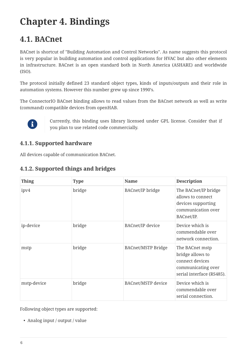# <span id="page-7-0"></span>**Chapter 4. Bindings**

### <span id="page-7-1"></span>**4.1. BACnet**

BACnet is shortcut of "Building Automation and Control Networks". As name suggests this protocol is very popular in building automation and control applications for HVAC but also other elements in infrastructure. BACnet is an open standard both in North America (ASHARE) and worldwide (ISO).

The protocol initially defined 23 standard object types, kinds of inputs/outputs and their role in automation systems. However this number grew up since 1990's.

The ConnectorIO BACnet binding allows to read values from the BACnet network as well as write (command) compatible devices from openHAB.



Currently, this binding uses library licensed under GPL license. Consider that if you plan to use related code commercially.

### **4.1.1. Supported hardware**

All devices capable of communication BACnet.

#### **4.1.2. Supported things and bridges**

| <b>Thing</b> | <b>Type</b> | <b>Name</b>               | <b>Description</b>                                                                                        |
|--------------|-------------|---------------------------|-----------------------------------------------------------------------------------------------------------|
| ipv4         | bridge      | <b>BACnet/IP</b> bridge   | The BACnet/IP bridge<br>allows to connect<br>devices supporting<br>communication over<br>BACnet/IP.       |
| ip-device    | bridge      | <b>BACnet/IP</b> device   | Device which is<br>commendable over<br>network connection.                                                |
| mstp         | bridge      | <b>BACnet/MSTP Bridge</b> | The BACnet mstp<br>bridge allows to<br>connect devices<br>communicating over<br>serial interface (RS485). |
| mstp-device  | bridge      | <b>BACnet/MSTP</b> device | Device which is<br>commendable over<br>serial connection.                                                 |

Following object types are supported:

• Analog input / output / value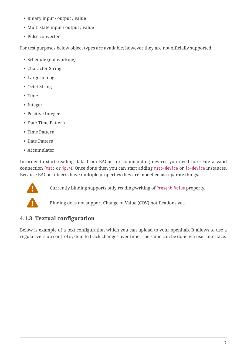- Binary input / output / value
- Multi state input / output / value
- Pulse converter

For test purposes below object types are available, however they are not officially supported.

- Schedule (not working)
- Character String
- Large analog
- Octet String
- Time
- Integer
- Positive Integer
- Date Time Pattern
- Time Pattern
- Date Pattern
- Accumulator

In order to start reading data from BACnet or commanding devices you need to create a valid connection (mstp or ipv4). Once done then you can start adding mstp-device or ip-device instances. Because BACnet objects have multiple properties they are modelled as separate things.



Currently binding supports only reading/writing of Present Value property.

Binding does not support Change of Value (COV) notifications yet.

### **4.1.3. Textual configuration**

Below is example of a text configuration which you can upload to your openhab. It allows to use a regular version control system to track changes over time. The same can be done via user interface.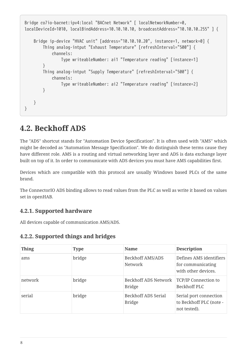```
Bridge co7io-bacnet:ipv4:local "BACnet Network" [ localNetworkNumber=0,
localDeviceId=1010, localBindAddress=10.10.10.10, broadcastAddress="10.10.10.255" ] {
      Bridge ip-device "HVAC unit" [address="10.10.10.20", instance=1, network=0] {
          Thing analog-intput "Exhaust Temperature" [refreshInterval="500"] {
              channels:
                  Type writeableNumber: ai1 "Temperature reading" [instance=1]
          }
          Thing analog-intput "Supply Temperature" [refreshInterval="500"] {
              channels:
                  Type writeableNumber: ai2 "Temperature reading" [instance=2]
          }
     }
}
```
### <span id="page-9-0"></span>**4.2. Beckhoff ADS**

The "ADS" shortcut stands for "Automation Device Specification". It is often used with "AMS" which might be decoded as "Automation Message Specification". We do distinguish these terms cause they have different role. AMS is a routing and virtual networking layer and ADS is data exchange layer built on top of it. In order to communicate with ADS devices you must have AMS capabilities first.

Devices which are compatible with this protocol are usually Windows based PLCs of the same brand.

The ConnectorIO ADS binding allows to read values from the PLC as well as write it based on values set in openHAB.

#### **4.2.1. Supported hardware**

All devices capable of communication AMS/ADS.

#### **4.2.2. Supported things and bridges**

| <b>Thing</b> | <b>Type</b> | <b>Name</b>                           | <b>Description</b>                                                  |
|--------------|-------------|---------------------------------------|---------------------------------------------------------------------|
| ams          | bridge      | Beckhoff AMS/ADS<br>Network           | Defines AMS identifiers<br>for communicating<br>with other devices. |
| network      | bridge      | Beckhoff ADS Network<br><b>Bridge</b> | <b>TCP/IP Connection to</b><br>Beckhoff PLC                         |
| serial       | bridge      | Beckhoff ADS Serial<br><b>Bridge</b>  | Serial port connection<br>to Beckhoff PLC (note -<br>not tested).   |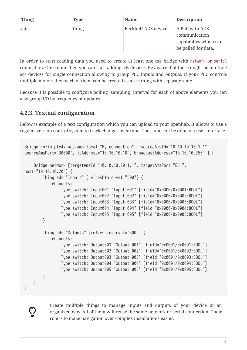| <b>Thing</b> | Type  | <b>Name</b>         | <b>Description</b>                                                               |
|--------------|-------|---------------------|----------------------------------------------------------------------------------|
| ads          | thing | Beckhoff ADS device | A PLC with ADS<br>communication<br>capabilities which can<br>be polled for data. |

In order to start reading data you need to create at least one ams bridge with network or serial connection. Once done then you can start adding ads devices. Be aware that there might be multiple ads devices for single connection allowing to group PLC inputs and outputs. If your PLC controls multiple motors then each of them can be created as a ads thing with separate state.

Because it is possible to configure polling (sampling) interval for each of above elements you can also group I/O by frequency of updates.

### **4.2.3. Textual configuration**

 $\bigcirc$ 

Below is example of a text configuration which you can upload to your openhab. It allows to use a regular version control system to track changes over time. The same can be done via user interface.

```
Bridge co7io-plc4x-ads:ams:local "My connection" [ sourceAmsId="10.10.10.10.1.1",
sourceAmsPort="30000", ipAddress="10.10.10.10", broadcastAddress="10.10.10.255" ] {
      Bridge network [targetAmsId="10.10.10.20.1.1", targetAmsPort="851",
host="10.10.10.20"] {
          Thing ads "Inputs" [refreshInterval="500"] {
              channels:
                  Type switch: Input001 "Input 001" [field="0x0000/0x0001:BOOL"]
                  Type switch: Input002 "Input 002" [field="0x0000/0x0002:BOOL"]
                  Type switch: Input003 "Input 003" [field="0x0000/0x0003:BOOL"]
                  Type switch: Input004 "Input 004" [field="0x0000/0x0004:BOOL"]
                  Type switch: Input005 "Input 005" [field="0x0000/0x0005:BOOL"]
          }
          Thing ads "Outputs" [refreshInterval="500"] {
              channels:
                  Type switch: Output001 "Output 001" [field="0x0001/0x0001:BOOL"]
                  Type switch: Output002 "Output 002" [field="0x0001/0x0002:BOOL"]
                  Type switch: Output003 "Output 003" [field="0x0001/0x0003:BOOL"]
                  Type switch: Output004 "Output 004" [field="0x0001/0x0004:BOOL"]
                  Type switch: Output005 "Output 005" [field="0x0001/0x0005:BOOL"]
          }
     }
}
```
Create multiple things to manage inputs and outputs of your device in an organized way. All of them will reuse the same network or serial connection. Their role is to make navigation over complex installations easier.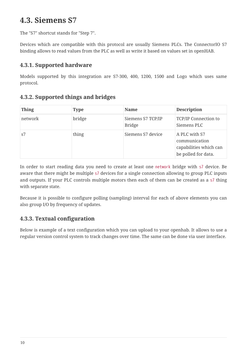### <span id="page-11-0"></span>**4.3. Siemens S7**

The "S7" shortcut stands for "Step 7".

Devices which are compatible with this protocol are usually Siemens PLCs. The ConnectorIO S7 binding allows to read values from the PLC as well as write it based on values set in openHAB.

#### **4.3.1. Supported hardware**

Models supported by this integration are S7-300, 400, 1200, 1500 and Logo which uses same protocol.

#### **4.3.2. Supported things and bridges**

| <b>Thing</b> | <b>Type</b> | <b>Name</b>                        | <b>Description</b>                                                              |
|--------------|-------------|------------------------------------|---------------------------------------------------------------------------------|
| network      | bridge      | Siemens S7 TCP/IP<br><b>Bridge</b> | <b>TCP/IP Connection to</b><br>Siemens PLC                                      |
| s7           | thing       | Siemens S7 device                  | A PLC with S7<br>communication<br>capabilities which can<br>be polled for data. |

In order to start reading data you need to create at least one network bridge with s7 device. Be aware that there might be multiple s7 devices for a single connection allowing to group PLC inputs and outputs. If your PLC controls multiple motors then each of them can be created as a s7 thing with separate state.

Because it is possible to configure polling (sampling) interval for each of above elements you can also group I/O by frequency of updates.

### **4.3.3. Textual configuration**

Below is example of a text configuration which you can upload to your openhab. It allows to use a regular version control system to track changes over time. The same can be done via user interface.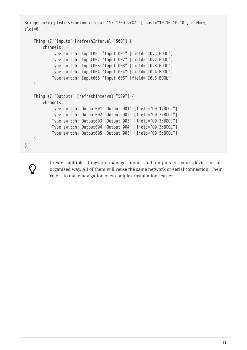```
Bridge co7io-plc4x-s7:network:local "S7-1200 vYXZ" [ host="10.10.10.10", rack=0,
slot=0 ] {
      Thing s7 "Inputs" [refreshInterval="500"] {
          channels:
              Type switch: Input001 "Input 001" [field="I0.1:BOOL"]
              Type switch: Input002 "Input 002" [field="I0.2:BOOL"]
              Type switch: Input003 "Input 003" [field="I0.3:BOOL"]
              Type switch: Input004 "Input 004" [field="I0.4:BOOL"]
              Type switch: Input005 "Input 005" [field="I0.5:BOOL"]
      }
      Thing s7 "Outputs" [refreshInterval="500"] {
          channels:
              Type switch: Output001 "Output 001" [field="Q0.1:BOOL"]
              Type switch: Output002 "Output 002" [field="Q0.2:BOOL"]
              Type switch: Output003 "Output 003" [field="Q0.3:BOOL"]
              Type switch: Output004 "Output 004" [field="Q0.3:BOOL"]
              Type switch: Output005 "Output 005" [field="Q0.5:BOOL"]
      }
}
```
Create multiple things to manage inputs and outputs of your device in an organized way. All of them will reuse the same network or serial connection. Their role is to make navigation over complex installations easier.